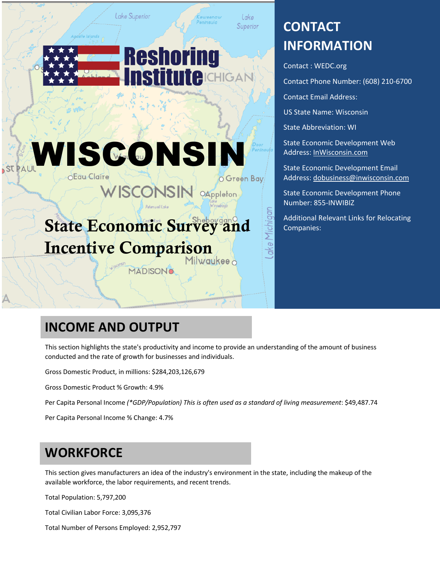

Lake Superior

**O** Green Bay

chiaal

OAppleton

# **CONTACT INFORMATION**

Contact : WEDC.org

Contact Phone Number: (608) 210-6700

Contact Email Address:

US State Name: Wisconsin

State Abbreviation: WI

State Economic Development Web Address: InWisconsin.com

State Economic Development Email Address: dobusiness@inwisconsin.com

State Economic Development Phone Number: 855-INWIBIZ

Additional Relevant Links for Relocating Companies:

# State Economic Survey and Incentive Comparison

WISCONSIN

**EN USCONSIN** 

Lake Superior

**MADISONO** 

# **INCOME AND OUTPUT**

This section highlights the state's productivity and income to provide an understanding of the amount of business conducted and the rate of growth for businesses and individuals.

Gross Domestic Product, in millions: \$284,203,126,679

Gross Domestic Product % Growth: 4.9%

Per Capita Personal Income *(\*GDP/Population) This is often used as a standard of living measurement*: \$49,487.74

Per Capita Personal Income % Change: 4.7%

### **WORKFORCE**

This section gives manufacturers an idea of the industry's environment in the state, including the makeup of the available workforce, the labor requirements, and recent trends.

Total Population: 5,797,200

Total Civilian Labor Force: 3,095,376

Total Number of Persons Employed: 2,952,797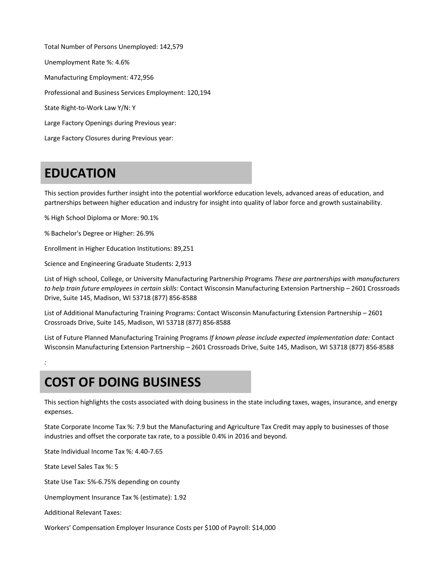Total Number of Persons Unemployed: 142,579 Unemployment Rate %: 4.6% Manufacturing Employment: 472,956 Professional and Business Services Employment: 120,194 State Right-to-Work Law Y/N: Y Large Factory Openings during Previous year: Large Factory Closures during Previous year:

### **EDUCATION**

This section provides further insight into the potential workforce education levels, advanced areas of education, and partnerships between higher education and industry for insight into quality of labor force and growth sustainability.

% High School Diploma or More: 90.1%

% Bachelor's Degree or Higher: 26.9%

Enrollment in Higher Education Institutions: 89,251

Science and Engineering Graduate Students: 2,913

List of High school, College, or University Manufacturing Partnership Programs *These are partnerships with manufacturers to help train future employees in certain skills:* Contact Wisconsin Manufacturing Extension Partnership – 2601 Crossroads Drive, Suite 145, Madison, WI 53718 (877) 856-8588

List of Additional Manufacturing Training Programs: Contact Wisconsin Manufacturing Extension Partnership – 2601 Crossroads Drive, Suite 145, Madison, WI 53718 (877) 856-8588

List of Future Planned Manufacturing Training Programs *If known please include expected implementation date:* Contact Wisconsin Manufacturing Extension Partnership – 2601 Crossroads Drive, Suite 145, Madison, WI 53718 (877) 856-8588

# **COST OF DOING BUSINESS**

This section highlights the costs associated with doing business in the state including taxes, wages, insurance, and energy expenses.

State Corporate Income Tax %: 7.9 but the Manufacturing and Agriculture Tax Credit may apply to businesses of those industries and offset the corporate tax rate, to a possible 0.4% in 2016 and beyond.

State Individual Income Tax %: 4.40-7.65

State Level Sales Tax %: 5

*:*

State Use Tax: 5%-6.75% depending on county

Unemployment Insurance Tax % (estimate): 1.92

Additional Relevant Taxes:

Workers' Compensation Employer Insurance Costs per \$100 of Payroll: \$14,000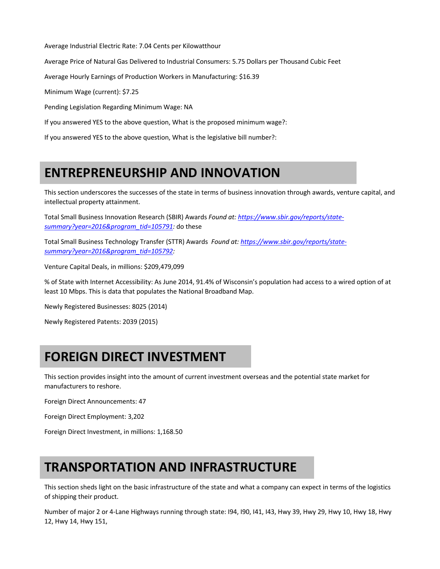Average Industrial Electric Rate: 7.04 Cents per Kilowatthour

Average Price of Natural Gas Delivered to Industrial Consumers: 5.75 Dollars per Thousand Cubic Feet

Average Hourly Earnings of Production Workers in Manufacturing: \$16.39

Minimum Wage (current): \$7.25

Pending Legislation Regarding Minimum Wage: NA

If you answered YES to the above question, What is the proposed minimum wage?:

If you answered YES to the above question, What is the legislative bill number?:

### **ENTREPRENEURSHIP AND INNOVATION**

This section underscores the successes of the state in terms of business innovation through awards, venture capital, and intellectual property attainment.

Total Small Business Innovation Research (SBIR) Awards *Found at: https://www.sbir.gov/reports/statesummary?year=2016&program\_tid=105791:* do these

Total Small Business Technology Transfer (STTR) Awards *Found at: https://www.sbir.gov/reports/statesummary?year=2016&program\_tid=105792:*

Venture Capital Deals, in millions: \$209,479,099

% of State with Internet Accessibility: As June 2014, 91.4% of Wisconsin's population had access to a wired option of at least 10 Mbps. This is data that populates the National Broadband Map.

Newly Registered Businesses: 8025 (2014)

Newly Registered Patents: 2039 (2015)

# **FOREIGN DIRECT INVESTMENT**

This section provides insight into the amount of current investment overseas and the potential state market for manufacturers to reshore.

Foreign Direct Announcements: 47

Foreign Direct Employment: 3,202

Foreign Direct Investment, in millions: 1,168.50

# **TRANSPORTATION AND INFRASTRUCTURE**

This section sheds light on the basic infrastructure of the state and what a company can expect in terms of the logistics of shipping their product.

Number of major 2 or 4-Lane Highways running through state: I94, I90, I41, I43, Hwy 39, Hwy 29, Hwy 10, Hwy 18, Hwy 12, Hwy 14, Hwy 151,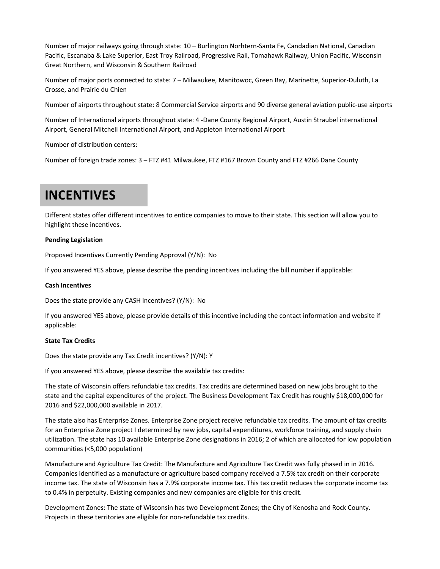Number of major railways going through state: 10 – Burlington Norhtern-Santa Fe, Candadian National, Canadian Pacific, Escanaba & Lake Superior, East Troy Railroad, Progressive Rail, Tomahawk Railway, Union Pacific, Wisconsin Great Northern, and Wisconsin & Southern Railroad

Number of major ports connected to state: 7 – Milwaukee, Manitowoc, Green Bay, Marinette, Superior-Duluth, La Crosse, and Prairie du Chien

Number of airports throughout state: 8 Commercial Service airports and 90 diverse general aviation public-use airports

Number of International airports throughout state: 4 -Dane County Regional Airport, Austin Straubel international Airport, General Mitchell International Airport, and Appleton International Airport

Number of distribution centers:

Number of foreign trade zones: 3 – FTZ #41 Milwaukee, FTZ #167 Brown County and FTZ #266 Dane County

### **INCENTIVES**

Different states offer different incentives to entice companies to move to their state. This section will allow you to highlight these incentives.

#### **Pending Legislation**

Proposed Incentives Currently Pending Approval (Y/N): No

If you answered YES above, please describe the pending incentives including the bill number if applicable:

#### **Cash Incentives**

Does the state provide any CASH incentives? (Y/N): No

If you answered YES above, please provide details of this incentive including the contact information and website if applicable:

#### **State Tax Credits**

Does the state provide any Tax Credit incentives? (Y/N): Y

If you answered YES above, please describe the available tax credits:

The state of Wisconsin offers refundable tax credits. Tax credits are determined based on new jobs brought to the state and the capital expenditures of the project. The Business Development Tax Credit has roughly \$18,000,000 for 2016 and \$22,000,000 available in 2017.

The state also has Enterprise Zones. Enterprise Zone project receive refundable tax credits. The amount of tax credits for an Enterprise Zone project I determined by new jobs, capital expenditures, workforce training, and supply chain utilization. The state has 10 available Enterprise Zone designations in 2016; 2 of which are allocated for low population communities (<5,000 population)

Manufacture and Agriculture Tax Credit: The Manufacture and Agriculture Tax Credit was fully phased in in 2016. Companies identified as a manufacture or agriculture based company received a 7.5% tax credit on their corporate income tax. The state of Wisconsin has a 7.9% corporate income tax. This tax credit reduces the corporate income tax to 0.4% in perpetuity. Existing companies and new companies are eligible for this credit.

Development Zones: The state of Wisconsin has two Development Zones; the City of Kenosha and Rock County. Projects in these territories are eligible for non-refundable tax credits.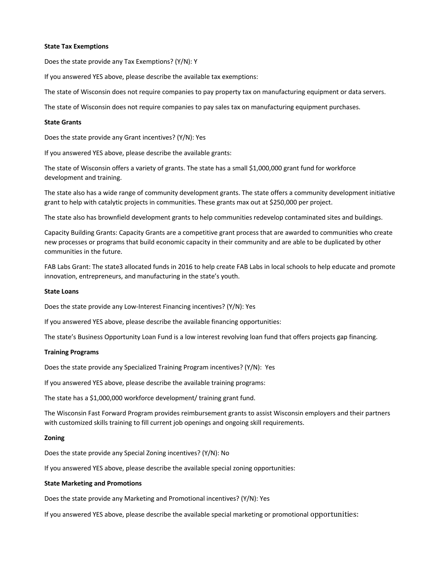#### **State Tax Exemptions**

Does the state provide any Tax Exemptions? (Y/N): Y

If you answered YES above, please describe the available tax exemptions:

The state of Wisconsin does not require companies to pay property tax on manufacturing equipment or data servers.

The state of Wisconsin does not require companies to pay sales tax on manufacturing equipment purchases.

#### **State Grants**

Does the state provide any Grant incentives? (Y/N): Yes

If you answered YES above, please describe the available grants:

The state of Wisconsin offers a variety of grants. The state has a small \$1,000,000 grant fund for workforce development and training.

The state also has a wide range of community development grants. The state offers a community development initiative grant to help with catalytic projects in communities. These grants max out at \$250,000 per project.

The state also has brownfield development grants to help communities redevelop contaminated sites and buildings.

Capacity Building Grants: Capacity Grants are a competitive grant process that are awarded to communities who create new processes or programs that build economic capacity in their community and are able to be duplicated by other communities in the future.

FAB Labs Grant: The state3 allocated funds in 2016 to help create FAB Labs in local schools to help educate and promote innovation, entrepreneurs, and manufacturing in the state's youth.

#### **State Loans**

Does the state provide any Low-Interest Financing incentives? (Y/N): Yes

If you answered YES above, please describe the available financing opportunities:

The state's Business Opportunity Loan Fund is a low interest revolving loan fund that offers projects gap financing.

#### **Training Programs**

Does the state provide any Specialized Training Program incentives? (Y/N): Yes

If you answered YES above, please describe the available training programs:

The state has a \$1,000,000 workforce development/ training grant fund.

The Wisconsin Fast Forward Program provides reimbursement grants to assist Wisconsin employers and their partners with customized skills training to fill current job openings and ongoing skill requirements.

#### **Zoning**

Does the state provide any Special Zoning incentives? (Y/N): No

If you answered YES above, please describe the available special zoning opportunities:

#### **State Marketing and Promotions**

Does the state provide any Marketing and Promotional incentives? (Y/N): Yes

If you answered YES above, please describe the available special marketing or promotional opportunities: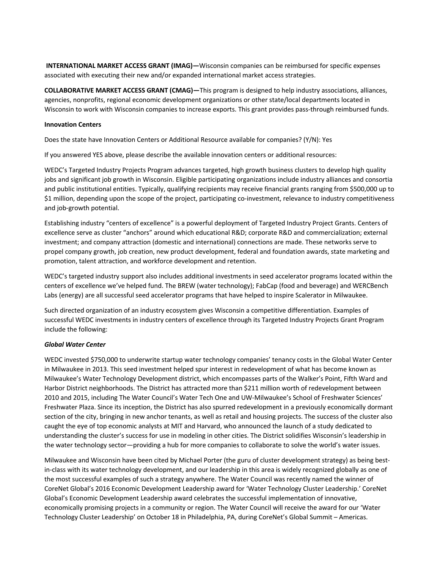**INTERNATIONAL MARKET ACCESS GRANT (IMAG)—**Wisconsin companies can be reimbursed for specific expenses associated with executing their new and/or expanded international market access strategies.

**COLLABORATIVE MARKET ACCESS GRANT (CMAG)—**This program is designed to help industry associations, alliances, agencies, nonprofits, regional economic development organizations or other state/local departments located in Wisconsin to work with Wisconsin companies to increase exports. This grant provides pass-through reimbursed funds.

#### **Innovation Centers**

Does the state have Innovation Centers or Additional Resource available for companies? (Y/N): Yes

If you answered YES above, please describe the available innovation centers or additional resources:

WEDC's Targeted Industry Projects Program advances targeted, high growth business clusters to develop high quality jobs and significant job growth in Wisconsin. Eligible participating organizations include industry alliances and consortia and public institutional entities. Typically, qualifying recipients may receive financial grants ranging from \$500,000 up to \$1 million, depending upon the scope of the project, participating co-investment, relevance to industry competitiveness and job-growth potential.

Establishing industry "centers of excellence" is a powerful deployment of Targeted Industry Project Grants. Centers of excellence serve as cluster "anchors" around which educational R&D; corporate R&D and commercialization; external investment; and company attraction (domestic and international) connections are made. These networks serve to propel company growth, job creation, new product development, federal and foundation awards, state marketing and promotion, talent attraction, and workforce development and retention.

WEDC's targeted industry support also includes additional investments in seed accelerator programs located within the centers of excellence we've helped fund. The BREW (water technology); FabCap (food and beverage) and WERCBench Labs (energy) are all successful seed accelerator programs that have helped to inspire Scalerator in Milwaukee.

Such directed organization of an industry ecosystem gives Wisconsin a competitive differentiation. Examples of successful WEDC investments in industry centers of excellence through its Targeted Industry Projects Grant Program include the following:

#### *Global Water Center*

WEDC invested \$750,000 to underwrite startup water technology companies' tenancy costs in the Global Water Center in Milwaukee in 2013. This seed investment helped spur interest in redevelopment of what has become known as Milwaukee's Water Technology Development district, which encompasses parts of the Walker's Point, Fifth Ward and Harbor District neighborhoods. The District has attracted more than \$211 million worth of redevelopment between 2010 and 2015, including The Water Council's Water Tech One and UW-Milwaukee's School of Freshwater Sciences' Freshwater Plaza. Since its inception, the District has also spurred redevelopment in a previously economically dormant section of the city, bringing in new anchor tenants, as well as retail and housing projects. The success of the cluster also caught the eye of top economic analysts at MIT and Harvard, who announced the launch of a study dedicated to understanding the cluster's success for use in modeling in other cities. The District solidifies Wisconsin's leadership in the water technology sector—providing a hub for more companies to collaborate to solve the world's water issues.

Milwaukee and Wisconsin have been cited by Michael Porter (the guru of cluster development strategy) as being bestin-class with its water technology development, and our leadership in this area is widely recognized globally as one of the most successful examples of such a strategy anywhere. The Water Council was recently named the winner of CoreNet Global's 2016 Economic Development Leadership award for 'Water Technology Cluster Leadership.' CoreNet Global's Economic Development Leadership award celebrates the successful implementation of innovative, economically promising projects in a community or region. The Water Council will receive the award for our 'Water Technology Cluster Leadership' on October 18 in Philadelphia, PA, during CoreNet's Global Summit – Americas.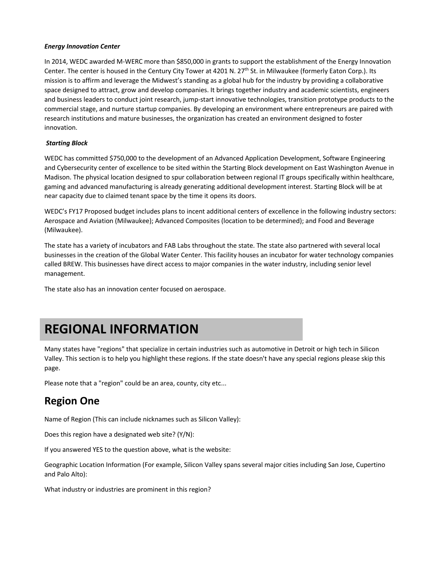#### *Energy Innovation Center*

In 2014, WEDC awarded M-WERC more than \$850,000 in grants to support the establishment of the Energy Innovation Center. The center is housed in the Century City Tower at 4201 N. 27<sup>th</sup> St. in Milwaukee (formerly Eaton Corp.). Its mission is to affirm and leverage the Midwest's standing as a global hub for the industry by providing a collaborative space designed to attract, grow and develop companies. It brings together industry and academic scientists, engineers and business leaders to conduct joint research, jump-start innovative technologies, transition prototype products to the commercial stage, and nurture startup companies. By developing an environment where entrepreneurs are paired with research institutions and mature businesses, the organization has created an environment designed to foster innovation.

#### *Starting Block*

WEDC has committed \$750,000 to the development of an Advanced Application Development, Software Engineering and Cybersecurity center of excellence to be sited within the Starting Block development on East Washington Avenue in Madison. The physical location designed to spur collaboration between regional IT groups specifically within healthcare, gaming and advanced manufacturing is already generating additional development interest. Starting Block will be at near capacity due to claimed tenant space by the time it opens its doors.

WEDC's FY17 Proposed budget includes plans to incent additional centers of excellence in the following industry sectors: Aerospace and Aviation (Milwaukee); Advanced Composites (location to be determined); and Food and Beverage (Milwaukee).

The state has a variety of incubators and FAB Labs throughout the state. The state also partnered with several local businesses in the creation of the Global Water Center. This facility houses an incubator for water technology companies called BREW. This businesses have direct access to major companies in the water industry, including senior level management.

The state also has an innovation center focused on aerospace.

### **REGIONAL INFORMATION**

Many states have "regions" that specialize in certain industries such as automotive in Detroit or high tech in Silicon Valley. This section is to help you highlight these regions. If the state doesn't have any special regions please skip this page.

Please note that a "region" could be an area, county, city etc...

### **Region One**

Name of Region (This can include nicknames such as Silicon Valley):

Does this region have a designated web site? (Y/N):

If you answered YES to the question above, what is the website:

Geographic Location Information (For example, Silicon Valley spans several major cities including San Jose, Cupertino and Palo Alto):

What industry or industries are prominent in this region?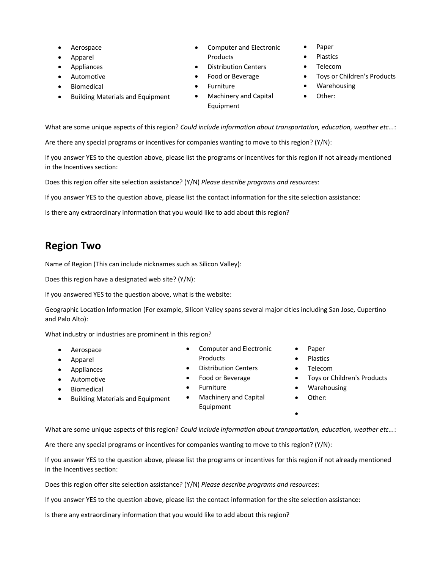- **Aerospace**
- Apparel
- **Appliances**
- Automotive
- **Biomedical**
- Building Materials and Equipment
- Computer and Electronic Products
- Distribution Centers • Food or Beverage
- 
- Furniture
- Machinery and Capital Equipment
- Paper
- Plastics
- Telecom
- Toys or Children's Products
- Warehousing
- Other:

What are some unique aspects of this region? *Could include information about transportation, education, weather etc...*:

Are there any special programs or incentives for companies wanting to move to this region? (Y/N):

If you answer YES to the question above, please list the programs or incentives for this region if not already mentioned in the Incentives section:

Does this region offer site selection assistance? (Y/N) *Please describe programs and resources*:

If you answer YES to the question above, please list the contact information for the site selection assistance:

Is there any extraordinary information that you would like to add about this region?

### **Region Two**

Name of Region (This can include nicknames such as Silicon Valley):

Does this region have a designated web site? (Y/N):

If you answered YES to the question above, what is the website:

Geographic Location Information (For example, Silicon Valley spans several major cities including San Jose, Cupertino and Palo Alto):

What industry or industries are prominent in this region?

- Aerospace
- Apparel
- Appliances
- Automotive
- **Biomedical**
- Building Materials and Equipment
- Computer and Electronic
- 
- 
- Food or Beverage
- Furniture
- Machinery and Capital Equipment
- Paper
- Plastics
- Telecom
- Toys or Children's Products
- **Warehousing**
- Other:
- •

What are some unique aspects of this region? *Could include information about transportation, education, weather etc...*:

Are there any special programs or incentives for companies wanting to move to this region? (Y/N):

If you answer YES to the question above, please list the programs or incentives for this region if not already mentioned in the Incentives section:

Does this region offer site selection assistance? (Y/N) *Please describe programs and resources*:

If you answer YES to the question above, please list the contact information for the site selection assistance:

Is there any extraordinary information that you would like to add about this region?

- Products
- Distribution Centers
- 
- 
- 
- -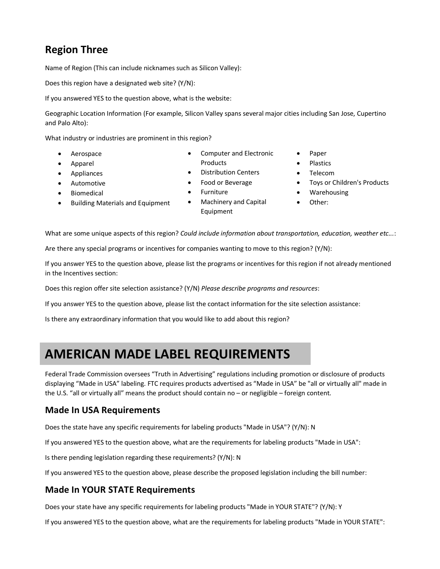### **Region Three**

Name of Region (This can include nicknames such as Silicon Valley):

Does this region have a designated web site? (Y/N):

If you answered YES to the question above, what is the website:

Geographic Location Information (For example, Silicon Valley spans several major cities including San Jose, Cupertino and Palo Alto):

What industry or industries are prominent in this region?

- Aerospace
- Apparel
- Appliances
- Automotive
- **Biomedical**
- Building Materials and Equipment
- Computer and Electronic Products
- Distribution Centers
- Food or Beverage
- **Furniture**
- Machinery and Capital Equipment
- Paper
- Plastics
- Telecom
- Toys or Children's Products
- Warehousing
- Other:

What are some unique aspects of this region? *Could include information about transportation, education, weather etc...*:

Are there any special programs or incentives for companies wanting to move to this region? (Y/N):

If you answer YES to the question above, please list the programs or incentives for this region if not already mentioned in the Incentives section:

Does this region offer site selection assistance? (Y/N) *Please describe programs and resources*:

If you answer YES to the question above, please list the contact information for the site selection assistance:

Is there any extraordinary information that you would like to add about this region?

### **AMERICAN MADE LABEL REQUIREMENTS**

Federal Trade Commission oversees "Truth in Advertising" regulations including promotion or disclosure of products displaying "Made in USA" labeling. FTC requires products advertised as "Made in USA" be "all or virtually all" made in the U.S. "all or virtually all" means the product should contain no – or negligible – foreign content.

### **Made In USA Requirements**

Does the state have any specific requirements for labeling products "Made in USA"? (Y/N): N

If you answered YES to the question above, what are the requirements for labeling products "Made in USA":

Is there pending legislation regarding these requirements? (Y/N): N

If you answered YES to the question above, please describe the proposed legislation including the bill number:

### **Made In YOUR STATE Requirements**

Does your state have any specific requirements for labeling products "Made in YOUR STATE"? (Y/N): Y

If you answered YES to the question above, what are the requirements for labeling products "Made in YOUR STATE":